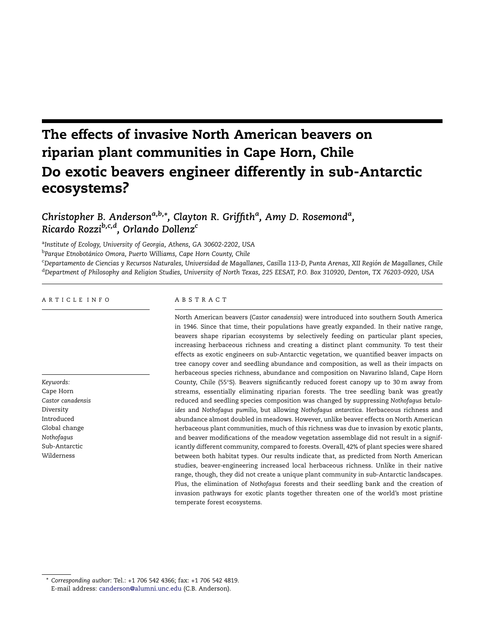# The effects of invasive North American beavers on riparian plant communities in Cape Horn, Chile Do exotic beavers engineer differently in sub-Antarctic ecosystems?

# Christopher B. Anderson<sup>a,b,</sup>\*, Clayton R. Griffith<sup>a</sup>, Amy D. Rosemond<sup>a</sup>, Ricardo Rozzi<sup>b,c,d</sup>, Orlando Dollenz<sup>c</sup>

<sup>a</sup>Institute of Ecology, University of Georgia, Athens, GA 30602-2202, USA

<sup>b</sup>Parque Etnobotánico Omora, Puerto Williams, Cape Horn County, Chile

<sup>c</sup>Departamento de Ciencias y Recursos Naturales, Universidad de Magallanes, Casilla 113-D, Punta Arenas, XII Región de Magallanes, Chile <sup>d</sup>Department of Philosophy and Religion Studies, University of North Texas, 225 EESAT, P.O. Box 310920, Denton, TX 76203-0920, USA

# ARTICLE INFO

Keywords: Cape Horn Castor canadensis Diversity Introduced Global change Nothofagus Sub-Antarctic Wilderness

# ABSTRACT

North American beavers (Castor canadensis) were introduced into southern South America in 1946. Since that time, their populations have greatly expanded. In their native range, beavers shape riparian ecosystems by selectively feeding on particular plant species, increasing herbaceous richness and creating a distinct plant community. To test their effects as exotic engineers on sub-Antarctic vegetation, we quantified beaver impacts on tree canopy cover and seedling abundance and composition, as well as their impacts on herbaceous species richness, abundance and composition on Navarino Island, Cape Horn County, Chile (55S). Beavers significantly reduced forest canopy up to 30 m away from streams, essentially eliminating riparian forests. The tree seedling bank was greatly reduced and seedling species composition was changed by suppressing Nothofagus betuloides and Nothofagus pumilio, but allowing Nothofagus antarctica. Herbaceous richness and abundance almost doubled in meadows. However, unlike beaver effects on North American herbaceous plant communities, much of this richness was due to invasion by exotic plants, and beaver modifications of the meadow vegetation assemblage did not result in a significantly different community, compared to forests. Overall, 42% of plant species were shared between both habitat types. Our results indicate that, as predicted from North American studies, beaver-engineering increased local herbaceous richness. Unlike in their native range, though, they did not create a unique plant community in sub-Antarctic landscapes. Plus, the elimination of Nothofagus forests and their seedling bank and the creation of invasion pathways for exotic plants together threaten one of the world's most pristine temperate forest ecosystems.

<sup>\*</sup> Corresponding author: Tel.: +1 706 542 4366; fax: +1 706 542 4819. E-mail address: [canderson@alumni.unc.edu](mailto:canderson@alumni.unc.edu) (C.B. Anderson).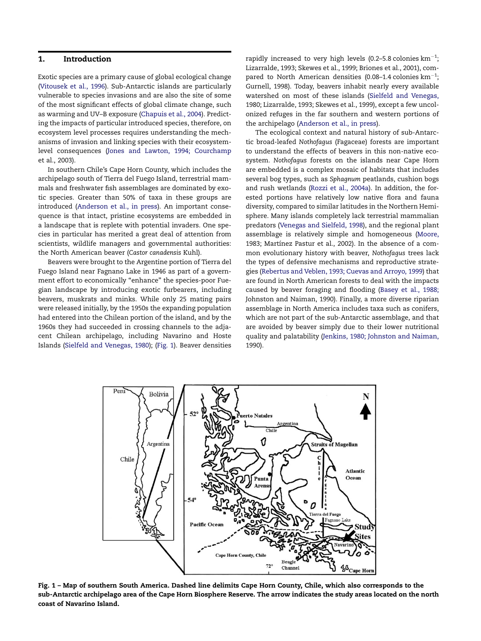# <span id="page-1-0"></span>1. Introduction

Exotic species are a primary cause of global ecological change ([Vitousek et al., 1996\)](#page-7-0). Sub-Antarctic islands are particularly vulnerable to species invasions and are also the site of some of the most significant effects of global climate change, such as warming and UV–B exposure ([Chapuis et al., 2004](#page-7-0)). Predicting the impacts of particular introduced species, therefore, on ecosystem level processes requires understanding the mechanisms of invasion and linking species with their ecosystemlevel consequences [\(Jones and Lawton, 1994; Courchamp](#page-7-0) [et al., 2003](#page-7-0)).

In southern Chile's Cape Horn County, which includes the archipelago south of Tierra del Fuego Island, terrestrial mammals and freshwater fish assemblages are dominated by exotic species. Greater than 50% of taxa in these groups are introduced ([Anderson et al., in press\)](#page-7-0). An important consequence is that intact, pristine ecosystems are embedded in a landscape that is replete with potential invaders. One species in particular has merited a great deal of attention from scientists, wildlife managers and governmental authorities: the North American beaver (Castor canadensis Kuhl).

Beavers were brought to the Argentine portion of Tierra del Fuego Island near Fagnano Lake in 1946 as part of a government effort to economically "enhance" the species-poor Fuegian landscape by introducing exotic furbearers, including beavers, muskrats and minks. While only 25 mating pairs were released initially, by the 1950s the expanding population had entered into the Chilean portion of the island, and by the 1960s they had succeeded in crossing channels to the adjacent Chilean archipelago, including Navarino and Hoste Islands [\(Sielfeld and Venegas, 1980](#page-7-0)); (Fig. 1). Beaver densities

rapidly increased to very high levels (0.2–5.8 colonies km $^{\rm -1};$ [Lizarralde, 1993; Skewes et al., 1999; Briones et al., 2001\)](#page-7-0), compared to North American densities (0.08–1.4 colonies  $\rm km^{-1};$ [Gurnell, 1998](#page-7-0)). Today, beavers inhabit nearly every available watershed on most of these islands ([Sielfeld and Venegas,](#page-7-0) [1980; Lizarralde, 1993; Skewes et al., 1999\)](#page-7-0), except a few uncolonized refuges in the far southern and western portions of the archipelago ([Anderson et al., in press\)](#page-7-0).

The ecological context and natural history of sub-Antarctic broad-leafed Nothofagus (Fagaceae) forests are important to understand the effects of beavers in this non-native ecosystem. Nothofagus forests on the islands near Cape Horn are embedded is a complex mosaic of habitats that includes several bog types, such as Sphagnum peatlands, cushion bogs and rush wetlands ([Rozzi et al., 2004a](#page-7-0)). In addition, the forested portions have relatively low native flora and fauna diversity, compared to similar latitudes in the Northern Hemisphere. Many islands completely lack terrestrial mammalian predators ([Venegas and Sielfeld, 1998](#page-7-0)), and the regional plant assemblage is relatively simple and homogeneous ([Moore,](#page-7-0) 1983; Martínez Pastur et al., 2002). In the absence of a common evolutionary history with beaver, Nothofagus trees lack the types of defensive mechanisms and reproductive strategies ([Rebertus and Veblen, 1993; Cuevas and Arroyo, 1999](#page-7-0)) that are found in North American forests to deal with the impacts caused by beaver foraging and flooding ([Basey et al., 1988;](#page-7-0) [Johnston and Naiman, 1990](#page-7-0)). Finally, a more diverse riparian assemblage in North America includes taxa such as conifers, which are not part of the sub-Antarctic assemblage, and that are avoided by beaver simply due to their lower nutritional quality and palatability [\(Jenkins, 1980; Johnston and Naiman,](#page-7-0) [1990\)](#page-7-0).



Fig. 1 – Map of southern South America. Dashed line delimits Cape Horn County, Chile, which also corresponds to the sub-Antarctic archipelago area of the Cape Horn Biosphere Reserve. The arrow indicates the study areas located on the north coast of Navarino Island.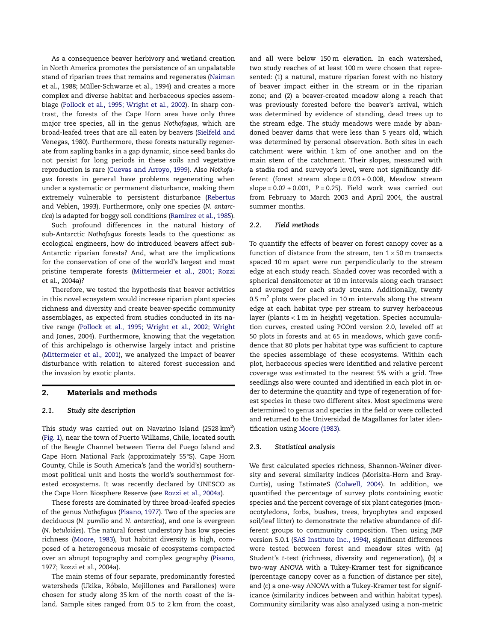As a consequence beaver herbivory and wetland creation in North America promotes the persistence of an unpalatable stand of riparian trees that remains and regenerates ([Naiman](#page-7-0) et al., 1988; Mü[ller-Schwarze et al., 1994\)](#page-7-0) and creates a more complex and diverse habitat and herbaceous species assemblage ([Pollock et al., 1995; Wright et al., 2002](#page-7-0)). In sharp contrast, the forests of the Cape Horn area have only three major tree species, all in the genus Nothofagus, which are broad-leafed trees that are all eaten by beavers [\(Sielfeld and](#page-7-0) [Venegas, 1980](#page-7-0)). Furthermore, these forests naturally regenerate from sapling banks in a gap dynamic, since seed banks do not persist for long periods in these soils and vegetative reproduction is rare [\(Cuevas and Arroyo, 1999](#page-7-0)). Also Nothofagus forests in general have problems regenerating when under a systematic or permanent disturbance, making them extremely vulnerable to persistent disturbance ([Rebertus](#page-7-0) [and Veblen, 1993](#page-7-0)). Furthermore, only one species (N. antarctica) is adapted for boggy soil conditions (Ramírez et al., 1985).

Such profound differences in the natural history of sub-Antarctic Nothofagus forests leads to the questions: as ecological engineers, how do introduced beavers affect sub-Antarctic riparian forests? And, what are the implications for the conservation of one of the world's largest and most pristine temperate forests [\(Mittermeier et al., 2001; Rozzi](#page-7-0) [et al., 2004a](#page-7-0))?

Therefore, we tested the hypothesis that beaver activities in this novel ecosystem would increase riparian plant species richness and diversity and create beaver-specific community assemblages, as expected from studies conducted in its native range ([Pollock et al., 1995; Wright et al., 2002; Wright](#page-7-0) [and Jones, 2004](#page-7-0)). Furthermore, knowing that the vegetation of this archipelago is otherwise largely intact and pristine [\(Mittermeier et al., 2001\)](#page-7-0), we analyzed the impact of beaver disturbance with relation to altered forest succession and the invasion by exotic plants.

#### 2. Materials and methods

#### 2.1. Study site description

This study was carried out on Navarino Island (2528 km $^2$ ) [\(Fig. 1](#page-1-0)), near the town of Puerto Williams, Chile, located south of the Beagle Channel between Tierra del Fuego Island and Cape Horn National Park (approximately 55°S). Cape Horn County, Chile is South America's (and the world's) southernmost political unit and hosts the world's southernmost forested ecosystems. It was recently declared by UNESCO as the Cape Horn Biosphere Reserve (see [Rozzi et al., 2004a](#page-7-0)).

These forests are dominated by three broad-leafed species of the genus Nothofagus [\(Pisano, 1977\)](#page-7-0). Two of the species are deciduous (N. pumilio and N. antarctica), and one is evergreen (N. betuloides). The natural forest understory has low species richness ([Moore, 1983](#page-7-0)), but habitat diversity is high, composed of a heterogeneous mosaic of ecosystems compacted over an abrupt topography and complex geography [\(Pisano,](#page-7-0) [1977; Rozzi et al., 2004a](#page-7-0)).

The main stems of four separate, predominantly forested watersheds (Ukika, Róbalo, Mejillones and Farallones) were chosen for study along 35 km of the north coast of the island. Sample sites ranged from 0.5 to 2 km from the coast, and all were below 150 m elevation. In each watershed, two study reaches of at least 100 m were chosen that represented: (1) a natural, mature riparian forest with no history of beaver impact either in the stream or in the riparian zone; and (2) a beaver-created meadow along a reach that was previously forested before the beaver's arrival, which was determined by evidence of standing, dead trees up to the stream edge. The study meadows were made by abandoned beaver dams that were less than 5 years old, which was determined by personal observation. Both sites in each catchment were within 1 km of one another and on the main stem of the catchment. Their slopes, measured with a stadia rod and surveyor's level, were not significantly different (forest stream slope =  $0.03 \pm 0.008$ , Meadow stream slope =  $0.02 \pm 0.001$ ,  $P = 0.25$ ). Field work was carried out from February to March 2003 and April 2004, the austral summer months.

#### 2.2. Field methods

To quantify the effects of beaver on forest canopy cover as a function of distance from the stream, ten  $1 \times 50$  m transects spaced 10 m apart were run perpendicularly to the stream edge at each study reach. Shaded cover was recorded with a spherical densitometer at 10 m intervals along each transect and averaged for each study stream. Additionally, twenty  $0.5$  m<sup>2</sup> plots were placed in 10 m intervals along the stream edge at each habitat type per stream to survey herbaceous layer (plants < 1 m in height) vegetation. Species accumulation curves, created using PCOrd version 2.0, leveled off at 50 plots in forests and at 65 in meadows, which gave confidence that 80 plots per habitat type was sufficient to capture the species assemblage of these ecosystems. Within each plot, herbaceous species were identified and relative percent coverage was estimated to the nearest 5% with a grid. Tree seedlings also were counted and identified in each plot in order to determine the quantity and type of regeneration of forest species in these two different sites. Most specimens were determined to genus and species in the field or were collected and returned to the Universidad de Magallanes for later identification using [Moore \(1983\).](#page-7-0)

#### 2.3. Statistical analysis

We first calculated species richness, Shannon-Weiner diversity and several similarity indices (Morisita-Horn and Bray-Curtis), using EstimateS [\(Colwell, 2004\)](#page-7-0). In addition, we quantified the percentage of survey plots containing exotic species and the percent coverage of six plant categories (monocotyledons, forbs, bushes, trees, bryophytes and exposed soil/leaf litter) to demonstrate the relative abundance of different groups to community composition. Then using JMP version 5.0.1 [\(SAS Institute Inc., 1994\)](#page-7-0), significant differences were tested between forest and meadow sites with (a) Student's t-test (richness, diversity and regeneration), (b) a two-way ANOVA with a Tukey-Kramer test for significance (percentage canopy cover as a function of distance per site), and (c) a one-way ANOVA with a Tukey-Kramer test for significance (similarity indices between and within habitat types). Community similarity was also analyzed using a non-metric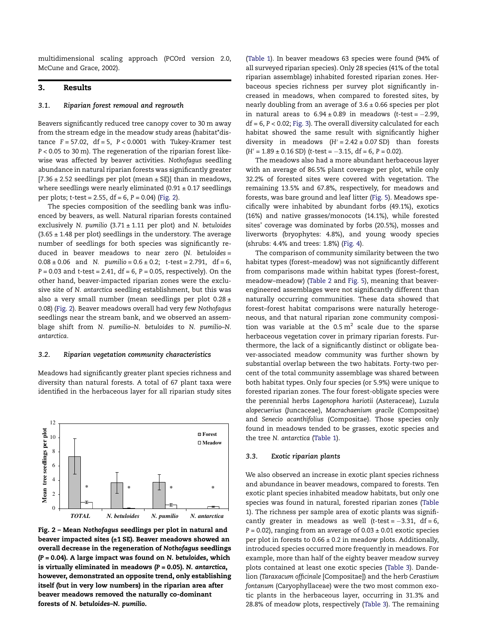multidimensional scaling approach (PCOrd version 2.0, [McCune and Grace, 2002\)](#page-7-0).

#### 3. Results

#### 3.1. Riparian forest removal and regrowth

Beavers significantly reduced tree canopy cover to 30 m away from the stream edge in the meadow study areas (habitat\*distance  $F = 57.02$ ,  $df = 5$ ,  $P < 0.0001$  with Tukey-Kramer test P < 0.05 to 30 m). The regeneration of the riparian forest likewise was affected by beaver activities. Nothofagus seedling abundance in natural riparian forests was significantly greater  $[7.36 \pm 2.52$  seedlings per plot (mean  $\pm$  SE)] than in meadows, where seedlings were nearly eliminated  $(0.91 \pm 0.17$  seedlings per plots;  $t-test = 2.55$ ,  $df = 6$ ,  $P = 0.04$ ) (Fig. 2).

The species composition of the seedling bank was influenced by beavers, as well. Natural riparian forests contained exclusively N. pumilio  $(3.71 \pm 1.11$  per plot) and N. betuloides  $(3.65 \pm 1.48$  per plot) seedlings in the understory. The average number of seedlings for both species was significantly reduced in beaver meadows to near zero (N. betuloides =  $0.08 \pm 0.06$  and N. pumilio =  $0.6 \pm 0.2$ ; t-test = 2.791, df = 6,  $P = 0.03$  and t-test = 2.41, df = 6,  $P = 0.05$ , respectively). On the other hand, beaver-impacted riparian zones were the exclusive site of N. antarctica seedling establishment, but this was also a very small number (mean seedlings per plot  $0.28 \pm$ 0.08) (Fig. 2). Beaver meadows overall had very few Nothofagus seedlings near the stream bank, and we observed an assemblage shift from N. pumilio–N. betuloides to N. pumilio–N. antarctica.

#### 3.2. Riparian vegetation community characteristics

Meadows had significantly greater plant species richness and diversity than natural forests. A total of 67 plant taxa were identified in the herbaceous layer for all riparian study sites



Fig. 2 – Mean Nothofagus seedlings per plot in natural and beaver impacted sites (±1 SE). Beaver meadows showed an overall decrease in the regeneration of Nothofagus seedlings  $(P = 0.04)$ . A large impact was found on N. betuloides, which is virtually eliminated in meadows  $(P = 0.05)$ . N. antarctica, however, demonstrated an opposite trend, only establishing itself (but in very low numbers) in the riparian area after beaver meadows removed the naturally co-dominant forests of N. betuloides–N. pumilio.

([Table 1\)](#page-4-0). In beaver meadows 63 species were found (94% of all surveyed riparian species). Only 28 species (41% of the total riparian assemblage) inhabited forested riparian zones. Herbaceous species richness per survey plot significantly increased in meadows, when compared to forested sites, by nearly doubling from an average of  $3.6 \pm 0.66$  species per plot in natural areas to  $6.94 \pm 0.89$  in meadows (t-test = -2.99,  $df = 6, P < 0.02$ ; [Fig. 3](#page-4-0)). The overall diversity calculated for each habitat showed the same result with significantly higher diversity in meadows  $(H' = 2.42 \pm 0.07$  SD) than forests  $(H' = 1.89 \pm 0.16$  SD) (t-test = -3.15, df = 6, P = 0.02).

The meadows also had a more abundant herbaceous layer with an average of 86.5% plant coverage per plot, while only 32.2% of forested sites were covered with vegetation. The remaining 13.5% and 67.8%, respectively, for meadows and forests, was bare ground and leaf litter [\(Fig. 5\)](#page-5-0). Meadows specifically were inhabited by abundant forbs (49.1%), exotics (16%) and native grasses/monocots (14.1%), while forested sites' coverage was dominated by forbs (20.5%), mosses and liverworts (bryophytes: 4.8%), and young woody species (shrubs: 4.4% and trees: 1.8%) [\(Fig. 4\)](#page-5-0).

The comparison of community similarity between the two habitat types (forest–meadow) was not significantly different from comparisons made within habitat types (forest–forest, meadow–meadow) ([Table 2](#page-5-0) and [Fig. 5](#page-5-0)), meaning that beaverengineered assemblages were not significantly different than naturally occurring communities. These data showed that forest–forest habitat comparisons were naturally heterogeneous, and that natural riparian zone community composition was variable at the  $0.5 \text{ m}^2$  scale due to the sparse herbaceous vegetation cover in primary riparian forests. Furthermore, the lack of a significantly distinct or obligate beaver-associated meadow community was further shown by substantial overlap between the two habitats. Forty-two percent of the total community assemblage was shared between both habitat types. Only four species (or 5.9%) were unique to forested riparian zones. The four forest-obligate species were the perennial herbs Lagenophora hariotii (Asteraceae), Luzula alopecuerius (Juncaceae), Macrachaenium gracile (Compositae) and Senecio acanthifolius (Compositae). Those species only found in meadows tended to be grasses, exotic species and the tree N. antarctica ([Table 1](#page-4-0)).

#### 3.3. Exotic riparian plants

We also observed an increase in exotic plant species richness and abundance in beaver meadows, compared to forests. Ten exotic plant species inhabited meadow habitats, but only one species was found in natural, forested riparian zones ([Table](#page-4-0) [1\)](#page-4-0). The richness per sample area of exotic plants was significantly greater in meadows as well (t-test =  $-3.31$ , df = 6,  $P = 0.02$ ), ranging from an average of  $0.03 \pm 0.01$  exotic species per plot in forests to  $0.66 \pm 0.2$  in meadow plots. Additionally, introduced species occurred more frequently in meadows. For example, more than half of the eighty beaver meadow survey plots contained at least one exotic species ([Table 3](#page-6-0)). Dandelion (Taraxacum officinale [Compositae]) and the herb Cerastium fontanum (Caryophyllaceae) were the two most common exotic plants in the herbaceous layer, occurring in 31.3% and 28.8% of meadow plots, respectively ([Table 3](#page-6-0)). The remaining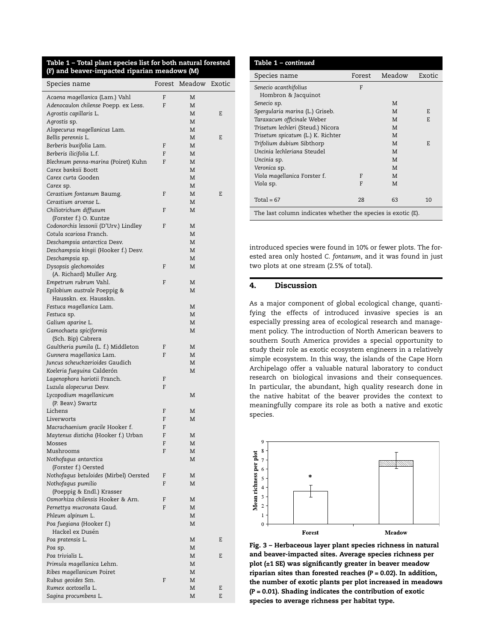<span id="page-4-0"></span>Table 1 – Total plant species list for both natural forested (F) and beaver-impacted riparian meadows (M)

| Species name                                                 |        | Forest Meadow | Exotic |
|--------------------------------------------------------------|--------|---------------|--------|
| Acaena magellanica (Lam.) Vahl                               | F      | M             |        |
| Adenocaulon chilense Poepp. ex Less.                         | F      | M             |        |
| Agrostis capillaris L.                                       |        | M             | E      |
| Agrostis sp.                                                 |        | M             |        |
| Alopecurus magellanicus Lam.                                 |        | M             |        |
| Bellis perennis L.                                           |        | M             | E      |
| Berberis buxifolia Lam.                                      | F      | M             |        |
| Berberis ilicifolia L.f.                                     | F      | M             |        |
| Blechnum penna-marina (Poiret) Kuhn                          | F      | M             |        |
| Carex banksii Boott<br>Carex curta Gooden                    |        | М<br>M        |        |
| Carex sp.                                                    |        | M             |        |
| Cerastium fontanum Baumg.                                    | F      | М             | E      |
| Cerastium arvense L.                                         |        | M             |        |
| Chiliotrichum diffusum                                       | F      | M             |        |
| (Forster f.) O. Kuntze                                       |        |               |        |
| Codonorchis lessonii (D'Urv.) Lindley                        | F      | M             |        |
| Cotula scariosa Franch.                                      |        | M             |        |
| Deschampsia antarctica Desv.                                 |        | M             |        |
| Deschampsia kingii (Hooker f.) Desv.                         |        | M             |        |
| Deschampsia sp.                                              |        | М             |        |
| Dysopsis glechomoides                                        | F      | M             |        |
| (A. Richard) Muller Arg.                                     |        |               |        |
| Empetrum rubrum Vahl.                                        | F      | M             |        |
| Epilobium australe Poeppig &                                 |        | M             |        |
| Hausskn. ex. Hausskn.                                        |        |               |        |
| Festuca magellanica Lam.                                     |        | M             |        |
| Festuca sp.                                                  |        | М             |        |
| Galium aparine L.                                            |        | M             |        |
| Gamochaeta spiciformis<br>(Sch. Bip) Cabrera                 |        | M             |        |
| Gaultheria pumila (L. f.) Middleton                          | F      | M             |        |
| Gunnera magellanica Lam.                                     | F      | M             |        |
| Juncus scheuchzerioides Gaudich                              |        | M             |        |
| Koeleria fueguina Calderón                                   |        | M             |        |
| Lagenophora hariotii Franch.                                 | F      |               |        |
| Luzula alopecurus Desv.                                      | F      |               |        |
| Lycopodium magellanicum                                      |        | M             |        |
| (P. Beav.) Swartz                                            |        |               |        |
| Lichens                                                      | F      | Μ             |        |
| Liverworts                                                   | F      | M             |        |
| Macrachaenium gracile Hooker f.                              | F      |               |        |
| Maytenus disticha (Hooker f.) Urban                          | F      | Μ             |        |
| Mosses                                                       | F      | M             |        |
| Mushrooms                                                    | F      | M             |        |
| Nothofagus antarctica                                        |        | М             |        |
| (Forster f.) Oersted                                         |        |               |        |
| Nothofaqus betuloides (Mirbel) Oersted<br>Nothofagus pumilio | F<br>F | Μ<br>M        |        |
| (Poeppig & Endl.) Krasser                                    |        |               |        |
| Osmorhiza chilensis Hooker & Arn.                            | F      | Μ             |        |
| Pernettya mucronata Gaud.                                    | F      | M             |        |
| Phleum alpinum L.                                            |        | Μ             |        |
| Poa fuegiana (Hooker f.)                                     |        | Μ             |        |
| Hackel ex Dusén                                              |        |               |        |
| Poa pratensis L.                                             |        | Μ             | E      |
| Poa sp.                                                      |        | Μ             |        |
| Poa trivialis L.                                             |        | M             | E      |
| Primula magellanica Lehm.                                    |        | Μ             |        |
| Ribes magellanicum Poiret                                    |        | Μ             |        |
| Rubus geoides Sm.                                            | F      | Μ             |        |
| Rumex acetosella L.                                          |        | Μ             | E      |
| Sagina procumbens L.                                         |        | Μ             | E      |

| Table 1 - continued                                          |        |        |        |  |
|--------------------------------------------------------------|--------|--------|--------|--|
| Species name                                                 | Forest | Meadow | Exotic |  |
| Senecio acanthifolius                                        | F      |        |        |  |
| Hombron & Jacquinot                                          |        |        |        |  |
| Senecio sp.                                                  |        | M      |        |  |
| Spergularia marina (L.) Griseb.                              |        | M      | E.     |  |
| Taraxacum officinale Weber                                   |        | M      | E      |  |
| Trisetum lechleri (Steud.) Nicora                            |        | M      |        |  |
| Trisetum spicatum (L.) K. Richter                            |        | M      |        |  |
| Trifolium dubium Sibthorp                                    |        | M      | E      |  |
| Uncinia lechleriana Steudel                                  |        | M      |        |  |
| Uncinia sp.                                                  |        | M      |        |  |
| Veronica sp.                                                 |        | M      |        |  |
| Viola magellanica Forster f.                                 | F      | M      |        |  |
| Viola sp.                                                    | F      | M      |        |  |
|                                                              |        |        |        |  |
| Total = $67$                                                 | 28     | 63     | 10     |  |
| The last column indicates whether the species is exotic (E). |        |        |        |  |

introduced species were found in 10% or fewer plots. The forested area only hosted C. fontanum, and it was found in just two plots at one stream (2.5% of total).

# 4. Discussion

As a major component of global ecological change, quantifying the effects of introduced invasive species is an especially pressing area of ecological research and management policy. The introduction of North American beavers to southern South America provides a special opportunity to study their role as exotic ecosystem engineers in a relatively simple ecosystem. In this way, the islands of the Cape Horn Archipelago offer a valuable natural laboratory to conduct research on biological invasions and their consequences. In particular, the abundant, high quality research done in the native habitat of the beaver provides the context to meaningfully compare its role as both a native and exotic species.



Fig. 3 – Herbaceous layer plant species richness in natural and beaver-impacted sites. Average species richness per plot (±1 SE) was significantly greater in beaver meadow riparian sites than forested reaches  $(P = 0.02)$ . In addition, the number of exotic plants per plot increased in meadows  $(P = 0.01)$ . Shading indicates the contribution of exotic species to average richness per habitat type.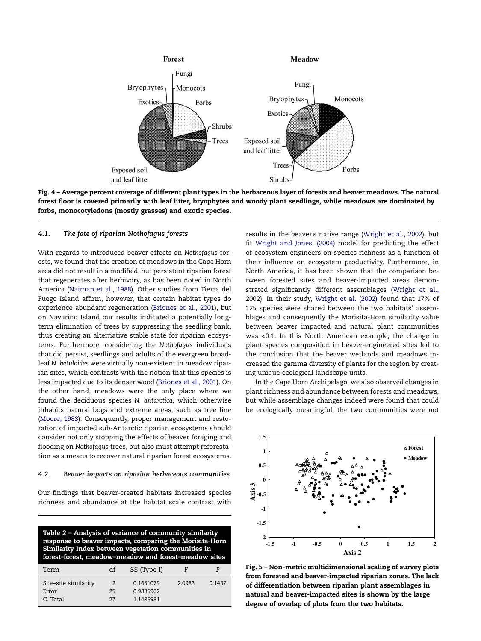<span id="page-5-0"></span>

Fig. 4 – Average percent coverage of different plant types in the herbaceous layer of forests and beaver meadows. The natural forest floor is covered primarily with leaf litter, bryophytes and woody plant seedlings, while meadows are dominated by forbs, monocotyledons (mostly grasses) and exotic species.

### 4.1. The fate of riparian Nothofagus forests

With regards to introduced beaver effects on Nothofagus forests, we found that the creation of meadows in the Cape Horn area did not result in a modified, but persistent riparian forest that regenerates after herbivory, as has been noted in North America ([Naiman et al., 1988](#page-7-0)). Other studies from Tierra del Fuego Island affirm, however, that certain habitat types do experience abundant regeneration ([Briones et al., 2001](#page-7-0)), but on Navarino Island our results indicated a potentially longterm elimination of trees by suppressing the seedling bank, thus creating an alternative stable state for riparian ecosystems. Furthermore, considering the Nothofagus individuals that did persist, seedlings and adults of the evergreen broadleaf N. betuloides were virtually non-existent in meadow riparian sites, which contrasts with the notion that this species is less impacted due to its denser wood ([Briones et al., 2001](#page-7-0)). On the other hand, meadows were the only place where we found the deciduous species N. antarctica, which otherwise inhabits natural bogs and extreme areas, such as tree line ([Moore, 1983\)](#page-7-0). Consequently, proper management and restoration of impacted sub-Antarctic riparian ecosystems should consider not only stopping the effects of beaver foraging and flooding on Nothofagus trees, but also must attempt reforestation as a means to recover natural riparian forest ecosystems.

#### 4.2. Beaver impacts on riparian herbaceous communities

Our findings that beaver-created habitats increased species richness and abundance at the habitat scale contrast with

| Table 2 - Analysis of variance of community similarity<br>response to beaver impacts, comparing the Morisita-Horn<br>Similarity Index between vegetation communities in<br>forest-forest, meadow-meadow and forest-meadow sites |               |                                     |        |        |  |
|---------------------------------------------------------------------------------------------------------------------------------------------------------------------------------------------------------------------------------|---------------|-------------------------------------|--------|--------|--|
| Term                                                                                                                                                                                                                            | df            | SS (Type I)                         |        |        |  |
| Site-site similarity<br>Error<br>C. Total                                                                                                                                                                                       | 2<br>25<br>27 | 0.1651079<br>0.9835902<br>1.1486981 | 2.0983 | 0.1437 |  |

results in the beaver's native range ([Wright et al., 2002\)](#page-7-0), but fit [Wright and Jones' \(2004\)](#page-7-0) model for predicting the effect of ecosystem engineers on species richness as a function of their influence on ecosystem productivity. Furthermore, in North America, it has been shown that the comparison between forested sites and beaver-impacted areas demonstrated significantly different assemblages [\(Wright et al.,](#page-7-0) [2002\)](#page-7-0). In their study, [Wright et al. \(2002\)](#page-7-0) found that 17% of 125 species were shared between the two habitats' assemblages and consequently the Morisita-Horn similarity value between beaver impacted and natural plant communities was <0.1. In this North American example, the change in plant species composition in beaver-engineered sites led to the conclusion that the beaver wetlands and meadows increased the gamma diversity of plants for the region by creating unique ecological landscape units.

In the Cape Horn Archipelago, we also observed changes in plant richness and abundance between forests and meadows, but while assemblage changes indeed were found that could be ecologically meaningful, the two communities were not



Fig. 5 – Non-metric multidimensional scaling of survey plots from forested and beaver-impacted riparian zones. The lack of differentiation between riparian plant assemblages in natural and beaver-impacted sites is shown by the large degree of overlap of plots from the two habitats.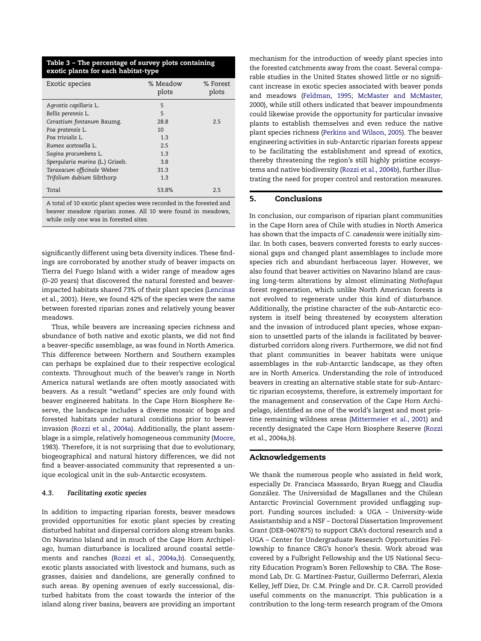#### <span id="page-6-0"></span>Table 3 – The percentage of survey plots containing exotic plants for each habitat-type

| Exotic species                  | % Meadow<br>plots | % Forest<br>plots |
|---------------------------------|-------------------|-------------------|
| Agrostis capillaris L.          | 5                 |                   |
| Bellis perennis L.              | 5                 |                   |
| Cerastium fontanum Baumg.       | 28.8              | 2.5               |
| Poa pratensis L.                | 10                |                   |
| Poa trivialis L.                | 1.3               |                   |
| Rumex acetosella L.             | 2.5               |                   |
| Sagina procumbens L.            | 1.3               |                   |
| Spergularia marina (L.) Griseb. | 3.8               |                   |
| Taraxacum officinale Weber      | 31.3              |                   |
| Trifolium dubium Sibthorp       | 1.3               |                   |
| Total                           | 53.8%             | 2.5               |

A total of 10 exotic plant species were recorded in the forested and beaver meadow riparian zones. All 10 were found in meadows, while only one was in forested sites.

significantly different using beta diversity indices. These findings are corroborated by another study of beaver impacts on Tierra del Fuego Island with a wider range of meadow ages (0–20 years) that discovered the natural forested and beaverimpacted habitats shared 73% of their plant species [\(Lencinas](#page-7-0) [et al., 2001\)](#page-7-0). Here, we found 42% of the species were the same between forested riparian zones and relatively young beaver meadows.

Thus, while beavers are increasing species richness and abundance of both native and exotic plants, we did not find a beaver-specific assemblage, as was found in North America. This difference between Northern and Southern examples can perhaps be explained due to their respective ecological contexts. Throughout much of the beaver's range in North America natural wetlands are often mostly associated with beavers. As a result ''wetland'' species are only found with beaver engineered habitats. In the Cape Horn Biosphere Reserve, the landscape includes a diverse mosaic of bogs and forested habitats under natural conditions prior to beaver invasion ([Rozzi et al., 2004a\)](#page-7-0). Additionally, the plant assemblage is a simple, relatively homogeneous community [\(Moore,](#page-7-0) [1983](#page-7-0)). Therefore, it is not surprising that due to evolutionary, biogeographical and natural history differences, we did not find a beaver-associated community that represented a unique ecological unit in the sub-Antarctic ecosystem.

#### 4.3. Facilitating exotic species

In addition to impacting riparian forests, beaver meadows provided opportunities for exotic plant species by creating disturbed habitat and dispersal corridors along stream banks. On Navarino Island and in much of the Cape Horn Archipelago, human disturbance is localized around coastal settlements and ranches ([Rozzi et al., 2004a,b\)](#page-7-0). Consequently, exotic plants associated with livestock and humans, such as grasses, daisies and dandelions, are generally confined to such areas. By opening avenues of early successional, disturbed habitats from the coast towards the interior of the island along river basins, beavers are providing an important mechanism for the introduction of weedy plant species into the forested catchments away from the coast. Several comparable studies in the United States showed little or no significant increase in exotic species associated with beaver ponds and meadows [\(Feldman, 1995; McMaster and McMaster,](#page-7-0) [2000](#page-7-0)), while still others indicated that beaver impoundments could likewise provide the opportunity for particular invasive plants to establish themselves and even reduce the native plant species richness [\(Perkins and Wilson, 2005\)](#page-7-0). The beaver engineering activities in sub-Antarctic riparian forests appear to be facilitating the establishment and spread of exotics, thereby threatening the region's still highly pristine ecosystems and native biodiversity [\(Rozzi et al., 2004b\)](#page-7-0), further illustrating the need for proper control and restoration measures.

# 5. Conclusions

In conclusion, our comparison of riparian plant communities in the Cape Horn area of Chile with studies in North America has shown that the impacts of C. canadensis were initially similar. In both cases, beavers converted forests to early successional gaps and changed plant assemblages to include more species rich and abundant herbaceous layer. However, we also found that beaver activities on Navarino Island are causing long-term alterations by almost eliminating Nothofagus forest regeneration, which unlike North American forests is not evolved to regenerate under this kind of disturbance. Additionally, the pristine character of the sub-Antarctic ecosystem is itself being threatened by ecosystem alteration and the invasion of introduced plant species, whose expansion to unsettled parts of the islands is facilitated by beaverdisturbed corridors along rivers. Furthermore, we did not find that plant communities in beaver habitats were unique assemblages in the sub-Antarctic landscape, as they often are in North America. Understanding the role of introduced beavers in creating an alternative stable state for sub-Antarctic riparian ecosystems, therefore, is extremely important for the management and conservation of the Cape Horn Archipelago, identified as one of the world's largest and most pristine remaining wildness areas ([Mittermeier et al., 2001](#page-7-0)) and recently designated the Cape Horn Biosphere Reserve [\(Rozzi](#page-7-0) [et al., 2004a,b](#page-7-0)).

# Acknowledgements

We thank the numerous people who assisted in field work, especially Dr. Francisca Massardo, Bryan Ruegg and Claudia González. The Universidad de Magallanes and the Chilean Antarctic Provincial Government provided unflagging support. Funding sources included: a UGA – University-wide Assistantship and a NSF – Doctoral Dissertation Improvement Grant (DEB-0407875) to support CBA's doctoral research and a UGA – Center for Undergraduate Research Opportunities Fellowship to finance CRG's honor's thesis. Work abroad was covered by a Fulbright Fellowship and the US National Security Education Program's Boren Fellowship to CBA. The Rosemond Lab, Dr. G. Martínez-Pastur, Guillermo Deferrari, Alexia Kelley, Jeff Diez, Dr. C.M. Pringle and Dr. C.R. Carroll provided useful comments on the manuscript. This publication is a contribution to the long-term research program of the Omora